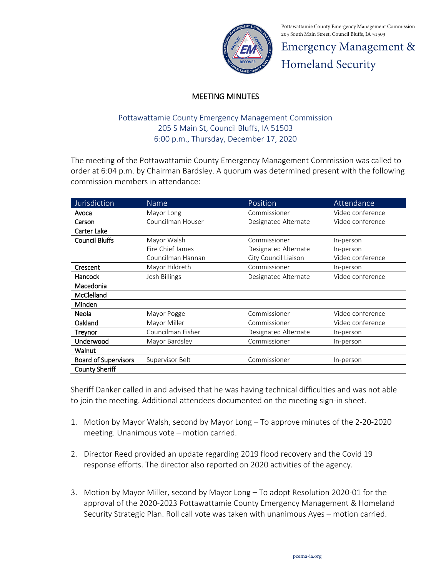

Pottawattamie County Emergency Management Commission 205 South Main Street, Council Bluffs, IA 51503

Emergency Management & Homeland Security

## MEETING MINUTES

## Pottawattamie County Emergency Management Commission 205 S Main St, Council Bluffs, IA 51503 6:00 p.m., Thursday, December 17, 2020

The meeting of the Pottawattamie County Emergency Management Commission was called to order at 6:04 p.m. by Chairman Bardsley. A quorum was determined present with the following commission members in attendance:

| Jurisdiction                | Name              | Position             | Attendance       |
|-----------------------------|-------------------|----------------------|------------------|
| Avoca                       | Mayor Long        | Commissioner         | Video conference |
| Carson                      | Councilman Houser | Designated Alternate | Video conference |
| Carter Lake                 |                   |                      |                  |
| <b>Council Bluffs</b>       | Mayor Walsh       | Commissioner         | In-person        |
|                             | Fire Chief James  | Designated Alternate | In-person        |
|                             | Councilman Hannan | City Council Liaison | Video conference |
| Crescent                    | Mayor Hildreth    | Commissioner         | In-person        |
| Hancock                     | Josh Billings     | Designated Alternate | Video conference |
| Macedonia                   |                   |                      |                  |
| <b>McClelland</b>           |                   |                      |                  |
| Minden                      |                   |                      |                  |
| Neola                       | Mayor Pogge       | Commissioner         | Video conference |
| Oakland                     | Mayor Miller      | Commissioner         | Video conference |
| Treynor                     | Councilman Fisher | Designated Alternate | In-person        |
| Underwood                   | Mayor Bardsley    | Commissioner         | In-person        |
| Walnut                      |                   |                      |                  |
| <b>Board of Supervisors</b> | Supervisor Belt   | Commissioner         | In-person        |
| <b>County Sheriff</b>       |                   |                      |                  |

Sheriff Danker called in and advised that he was having technical difficulties and was not able to join the meeting. Additional attendees documented on the meeting sign-in sheet.

- 1. Motion by Mayor Walsh, second by Mayor Long To approve minutes of the 2-20-2020 meeting. Unanimous vote – motion carried.
- 2. Director Reed provided an update regarding 2019 flood recovery and the Covid 19 response efforts. The director also reported on 2020 activities of the agency.
- 3. Motion by Mayor Miller, second by Mayor Long To adopt Resolution 2020-01 for the approval of the 2020-2023 Pottawattamie County Emergency Management & Homeland Security Strategic Plan. Roll call vote was taken with unanimous Ayes – motion carried.